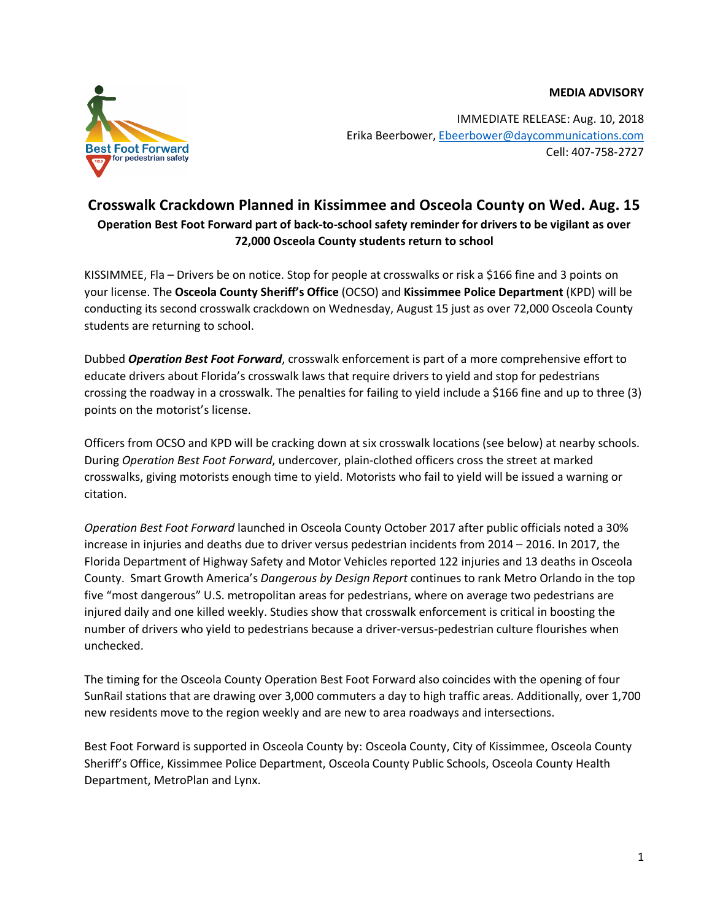**MEDIA ADVISORY**



IMMEDIATE RELEASE: Aug. 10, 2018 Erika Beerbower, Ebeerbower@daycommunications.com Cell: 407-758-2727

## **Crosswalk Crackdown Planned in Kissimmee and Osceola County on Wed. Aug. 15 Operation Best Foot Forward part of back-to-school safety reminder for drivers to be vigilant as over 72,000 Osceola County students return to school**

KISSIMMEE, Fla – Drivers be on notice. Stop for people at crosswalks or risk a \$166 fine and 3 points on your license. The **Osceola County Sheriff's Office** (OCSO) and **Kissimmee Police Department** (KPD) will be conducting its second crosswalk crackdown on Wednesday, August 15 just as over 72,000 Osceola County students are returning to school.

Dubbed *Operation Best Foot Forward*, crosswalk enforcement is part of a more comprehensive effort to educate drivers about Florida's crosswalk laws that require drivers to yield and stop for pedestrians crossing the roadway in a crosswalk. The penalties for failing to yield include a \$166 fine and up to three (3) points on the motorist's license.

Officers from OCSO and KPD will be cracking down at six crosswalk locations (see below) at nearby schools. During *Operation Best Foot Forward*, undercover, plain-clothed officers cross the street at marked crosswalks, giving motorists enough time to yield. Motorists who fail to yield will be issued a warning or citation.

*Operation Best Foot Forward* launched in Osceola County October 2017 after public officials noted a 30% increase in injuries and deaths due to driver versus pedestrian incidents from 2014 – 2016. In 2017, the Florida Department of Highway Safety and Motor Vehicles reported 122 injuries and 13 deaths in Osceola County. Smart Growth America's *Dangerous by Design Report* continues to rank Metro Orlando in the top five "most dangerous" U.S. metropolitan areas for pedestrians, where on average two pedestrians are injured daily and one killed weekly. Studies show that crosswalk enforcement is critical in boosting the number of drivers who yield to pedestrians because a driver-versus-pedestrian culture flourishes when unchecked.

The timing for the Osceola County Operation Best Foot Forward also coincides with the opening of four SunRail stations that are drawing over 3,000 commuters a day to high traffic areas. Additionally, over 1,700 new residents move to the region weekly and are new to area roadways and intersections.

Best Foot Forward is supported in Osceola County by: Osceola County, City of Kissimmee, Osceola County Sheriff's Office, Kissimmee Police Department, Osceola County Public Schools, Osceola County Health Department, MetroPlan and Lynx.